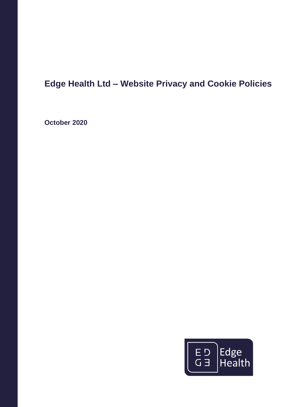# **Edge Health Ltd – Website Privacy and Cookie Policies**

**October 2020**

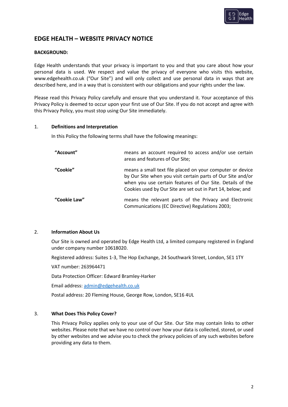

# **EDGE HEALTH – WEBSITE PRIVACY NOTICE**

# **BACKGROUND:**

Edge Health understands that your privacy is important to you and that you care about how your personal data is used. We respect and value the privacy of everyone who visits this website, www.edgehealth.co.uk ("Our Site") and will only collect and use personal data in ways that are described here, and in a way that is consistent with our obligations and your rights under the law.

Please read this Privacy Policy carefully and ensure that you understand it. Your acceptance of this Privacy Policy is deemed to occur upon your first use of Our Site. If you do not accept and agree with this Privacy Policy, you must stop using Our Site immediately.

#### 1. **Definitions and Interpretation**

In this Policy the following terms shall have the following meanings:

| "Account"    | means an account required to access and/or use certain<br>areas and features of Our Site;                                                                                                                                                            |
|--------------|------------------------------------------------------------------------------------------------------------------------------------------------------------------------------------------------------------------------------------------------------|
| "Cookie"     | means a small text file placed on your computer or device<br>by Our Site when you visit certain parts of Our Site and/or<br>when you use certain features of Our Site. Details of the<br>Cookies used by Our Site are set out in Part 14, below; and |
| "Cookie Law" | means the relevant parts of the Privacy and Electronic<br>Communications (EC Directive) Regulations 2003;                                                                                                                                            |

#### 2. **Information About Us**

Our Site is owned and operated by Edge Health Ltd, a limited company registered in England under company number 10618020.

Registered address: Suites 1-3, The Hop Exchange, 24 Southwark Street, London, SE1 1TY

VAT number: 263964471

Data Protection Officer: Edward Bramley-Harker

Email address[: admin@edgehealth.co.uk](mailto:admin@edgehealth.co.uk)

Postal address: 20 Fleming House, George Row, London, SE16 4UL

#### 3. **What Does This Policy Cover?**

This Privacy Policy applies only to your use of Our Site. Our Site may contain links to other websites. Please note that we have no control over how your data is collected, stored, or used by other websites and we advise you to check the privacy policies of any such websites before providing any data to them.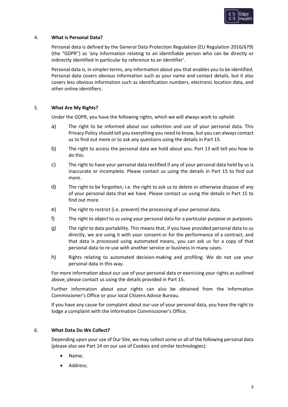

# 4. **What is Personal Data?**

Personal data is defined by the General Data Protection Regulation (EU Regulation 2016/679) (the "GDPR") as 'any information relating to an identifiable person who can be directly or indirectly identified in particular by reference to an identifier'.

Personal data is, in simpler terms, any information about you that enables you to be identified. Personal data covers obvious information such as your name and contact details, but it also covers less obvious information such as identification numbers, electronic location data, and other online identifiers.

# 5. **What Are My Rights?**

Under the GDPR, you have the following rights, which we will always work to uphold:

- a) The right to be informed about our collection and use of your personal data. This Privacy Policy should tell you everything you need to know, but you can always contact us to find out more or to ask any questions using the details in Part 15.
- b) The right to access the personal data we hold about you. Part 13 will tell you how to do this.
- c) The right to have your personal data rectified if any of your personal data held by us is inaccurate or incomplete. Please contact us using the details in Part 15 to find out more.
- d) The right to be forgotten, i.e. the right to ask us to delete or otherwise dispose of any of your personal data that we have. Please contact us using the details in Part 15 to find out more.
- e) The right to restrict (i.e. prevent) the processing of your personal data.
- f) The right to object to us using your personal data for a particular purpose or purposes.
- g) The right to data portability. This means that, if you have provided personal data to us directly, we are using it with your consent or for the performance of a contract, and that data is processed using automated means, you can ask us for a copy of that personal data to re-use with another service or business in many cases.
- h) Rights relating to automated decision-making and profiling. We do not use your personal data in this way.

For more information about our use of your personal data or exercising your rights as outlined above, please contact us using the details provided in Part 15.

Further information about your rights can also be obtained from the Information Commissioner's Office or your local Citizens Advice Bureau.

If you have any cause for complaint about our use of your personal data, you have the right to lodge a complaint with the Information Commissioner's Office.

## 6. **What Data Do We Collect?**

Depending upon your use of Our Site, we may collect some or all of the following personal data (please also see Part 14 on our use of Cookies and similar technologies):

- Name;
- Address;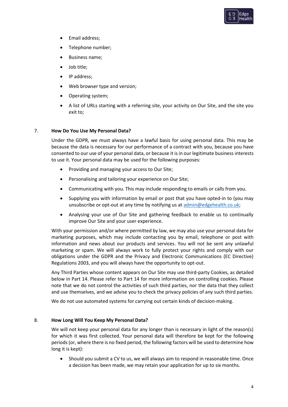

- Email address;
- Telephone number;
- Business name;
- Job title;
- IP address;
- Web browser type and version;
- Operating system;
- A list of URLs starting with a referring site, your activity on Our Site, and the site you exit to;

#### 7. **How Do You Use My Personal Data?**

Under the GDPR, we must always have a lawful basis for using personal data. This may be because the data is necessary for our performance of a contract with you, because you have consented to our use of your personal data, or because it is in our legitimate business interests to use it. Your personal data may be used for the following purposes:

- Providing and managing your access to Our Site;
- Personalising and tailoring your experience on Our Site;
- Communicating with you. This may include responding to emails or calls from you.
- Supplying you with information by email or post that you have opted-in to (you may unsubscribe or opt-out at any time by notifying us a[t admin@edgehealth.co.uk;](mailto:admin@edgehealth.co.uk)
- Analysing your use of Our Site and gathering feedback to enable us to continually improve Our Site and your user experience.

With your permission and/or where permitted by law, we may also use your personal data for marketing purposes, which may include contacting you by email, telephone or post with information and news about our products and services. You will not be sent any unlawful marketing or spam. We will always work to fully protect your rights and comply with our obligations under the GDPR and the Privacy and Electronic Communications (EC Directive) Regulations 2003, and you will always have the opportunity to opt-out.

Any Third Parties whose content appears on Our Site may use third-party Cookies, as detailed below in Part 14. Please refer to Part 14 for more information on controlling cookies. Please note that we do not control the activities of such third parties, nor the data that they collect and use themselves, and we advise you to check the privacy policies of any such third parties.

We do not use automated systems for carrying out certain kinds of decision-making.

#### 8. **How Long Will You Keep My Personal Data?**

We will not keep your personal data for any longer than is necessary in light of the reason(s) for which it was first collected. Your personal data will therefore be kept for the following periods (or, where there is no fixed period, the following factors will be used to determine how long it is kept):

• Should you submit a CV to us, we will always aim to respond in reasonable time. Once a decision has been made, we may retain your application for up to six months.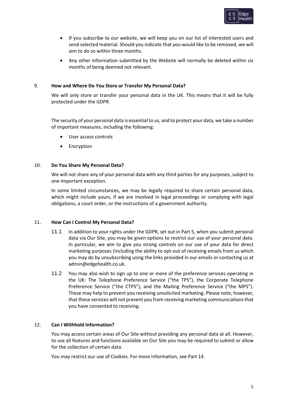

- If you subscribe to our website, we will keep you on our list of interested users and send selected material. Should you indicate that you would like to be removed, we will aim to do so within three months.
- Any other information submitted by the Website will normally be deleted within six months of being deemed not relevant.

# 9. **How and Where Do You Store or Transfer My Personal Data?**

We will only store or transfer your personal data in the UK. This means that it will be fully protected under the GDPR.

The security of your personal data is essential to us, and to protect your data, we take a number of important measures, including the following:

- User access controls
- **Encryption**

# 10. **Do You Share My Personal Data?**

We will not share any of your personal data with any third parties for any purposes, subject to one important exception.

In some limited circumstances, we may be legally required to share certain personal data, which might include yours, if we are involved in legal proceedings or complying with legal obligations, a court order, or the instructions of a government authority.

#### 11. **How Can I Control My Personal Data?**

- 11.1 In addition to your rights under the GDPR, set out in Part 5, when you submit personal data via Our Site, you may be given options to restrict our use of your personal data. In particular, we aim to give you strong controls on our use of your data for direct marketing purposes (including the ability to opt-out of receiving emails from us which you may do by unsubscribing using the links provided in our emails or contacting us at admin@edgehealth.co.uk.
- 11.2 You may also wish to sign up to one or more of the preference services operating in the UK: The Telephone Preference Service ("the TPS"), the Corporate Telephone Preference Service ("the CTPS"), and the Mailing Preference Service ("the MPS"). These may help to prevent you receiving unsolicited marketing. Please note, however, that these services will not prevent you from receiving marketing communications that you have consented to receiving.

# 12. **Can I Withhold Information?**

You may access certain areas of Our Site without providing any personal data at all. However, to use all features and functions available on Our Site you may be required to submit or allow for the collection of certain data.

You may restrict our use of Cookies. For more information, see Part 14.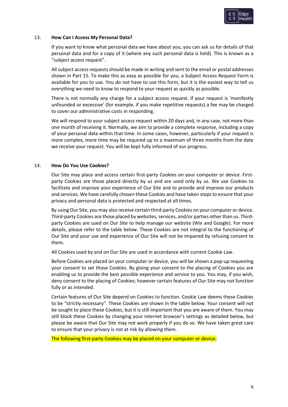

## 13. **How Can I Access My Personal Data?**

If you want to know what personal data we have about you, you can ask us for details of that personal data and for a copy of it (where any such personal data is held). This is known as a "subject access request".

All subject access requests should be made in writing and sent to the email or postal addresses shown in Part 15. To make this as easy as possible for you, a Subject Access Request Form is available for you to use. You do not have to use this form, but it is the easiest way to tell us everything we need to know to respond to your request as quickly as possible.

There is not normally any charge for a subject access request. If your request is 'manifestly unfounded or excessive' (for example, if you make repetitive requests) a fee may be charged to cover our administrative costs in responding.

We will respond to your subject access request within 20 days and, in any case, not more than one month of receiving it. Normally, we aim to provide a complete response, including a copy of your personal data within that time. In some cases, however, particularly if your request is more complex, more time may be required up to a maximum of three months from the date we receive your request. You will be kept fully informed of our progress.

#### 14. **How Do You Use Cookies?**

Our Site may place and access certain first-party Cookies on your computer or device. Firstparty Cookies are those placed directly by us and are used only by us. We use Cookies to facilitate and improve your experience of Our Site and to provide and improve our products and services. We have carefully chosen these Cookies and have taken steps to ensure that your privacy and personal data is protected and respected at all times.

By using Our Site, you may also receive certain third-party Cookies on your computer or device. Third-party Cookies are those placed by websites, services, and/or parties other than us. Thirdparty Cookies are used on Our Site to help manage our website (Wix and Google). For more details, please refer to the table below. These Cookies are not integral to the functioning of Our Site and your use and experience of Our Site will not be impaired by refusing consent to them.

All Cookies used by and on Our Site are used in accordance with current Cookie Law.

Before Cookies are placed on your computer or device, you will be shown a pop-up requesting your consent to set those Cookies. By giving your consent to the placing of Cookies you are enabling us to provide the best possible experience and service to you. You may, if you wish, deny consent to the placing of Cookies; however certain features of Our Site may not function fully or as intended.

Certain features of Our Site depend on Cookies to function. Cookie Law deems these Cookies to be "strictly necessary". These Cookies are shown in the table below. Your consent will not be sought to place these Cookies, but it is still important that you are aware of them. You may still block these Cookies by changing your internet browser's settings as detailed below, but please be aware that Our Site may not work properly if you do so. We have taken great care to ensure that your privacy is not at risk by allowing them.

The following first-party Cookies may be placed on your computer or device: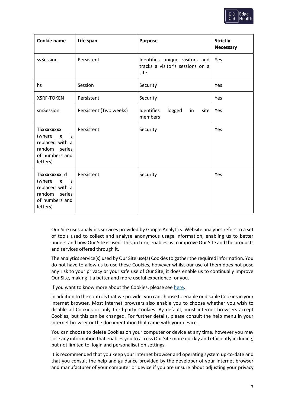

| Cookie name                                                                                          | Life span              | <b>Purpose</b>                                                             | <b>Strictly</b><br><b>Necessary</b> |
|------------------------------------------------------------------------------------------------------|------------------------|----------------------------------------------------------------------------|-------------------------------------|
| svSession                                                                                            | Persistent             | Identifies unique visitors and<br>tracks a visitor's sessions on a<br>site | Yes                                 |
| hs                                                                                                   | Session                | Security                                                                   | Yes                                 |
| <b>XSRF-TOKEN</b>                                                                                    | Persistent             | Security                                                                   | Yes                                 |
| smSession                                                                                            | Persistent (Two weeks) | Identifies<br>logged<br>site<br>in<br>members                              | Yes                                 |
| <b>TSxxxxxxxx</b><br>(where $x$ is<br>replaced with a<br>random series<br>of numbers and<br>letters) | Persistent             | Security                                                                   | Yes                                 |
| TSxxxxxxxx_d<br>(where $x$ is<br>replaced with a<br>random series<br>of numbers and<br>letters)      | Persistent             | Security                                                                   | Yes                                 |

Our Site uses analytics services provided by Google Analytics. Website analytics refers to a set of tools used to collect and analyse anonymous usage information, enabling us to better understand how Our Site is used. This, in turn, enables us to improve Our Site and the products and services offered through it.

The analytics service(s) used by Our Site use(s) Cookies to gather the required information. You do not have to allow us to use these Cookies, however whilst our use of them does not pose any risk to your privacy or your safe use of Our Site, it does enable us to continually improve Our Site, making it a better and more useful experience for you.

If you want to know more about the Cookies, please se[e here.](https://developers.google.com/analytics/devguides/collection/analyticsjs/cookie-usage)

In addition to the controls that we provide, you can choose to enable or disable Cookies in your internet browser. Most internet browsers also enable you to choose whether you wish to disable all Cookies or only third-party Cookies. By default, most internet browsers accept Cookies, but this can be changed. For further details, please consult the help menu in your internet browser or the documentation that came with your device.

You can choose to delete Cookies on your computer or device at any time, however you may lose any information that enables you to access Our Site more quickly and efficiently including, but not limited to, login and personalisation settings.

It is recommended that you keep your internet browser and operating system up-to-date and that you consult the help and guidance provided by the developer of your internet browser and manufacturer of your computer or device if you are unsure about adjusting your privacy